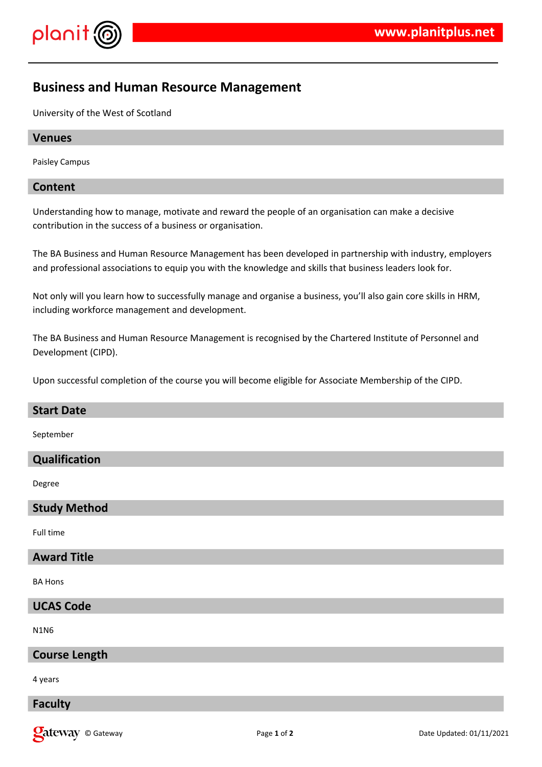

# **Business and Human Resource Management**

University of the West of Scotland

#### **Venues**

Paisley Campus

## **Content**

Understanding how to manage, motivate and reward the people of an organisation can make a decisive contribution in the success of a business or organisation.

The BA Business and Human Resource Management has been developed in partnership with industry, employers and professional associations to equip you with the knowledge and skills that business leaders look for.

Not only will you learn how to successfully manage and organise a business, you'll also gain core skills in HRM, including workforce management and development.

The BA Business and Human Resource Management is recognised by the Chartered Institute of Personnel and Development (CIPD).

Upon successful completion of the course you will become eligible for Associate Membership of the CIPD.

| <b>Start Date</b>    |
|----------------------|
| September            |
| Qualification        |
| Degree               |
| <b>Study Method</b>  |
| Full time            |
| <b>Award Title</b>   |
| <b>BA Hons</b>       |
| <b>UCAS Code</b>     |
| <b>N1N6</b>          |
| <b>Course Length</b> |
|                      |

4 years

## **Faculty**